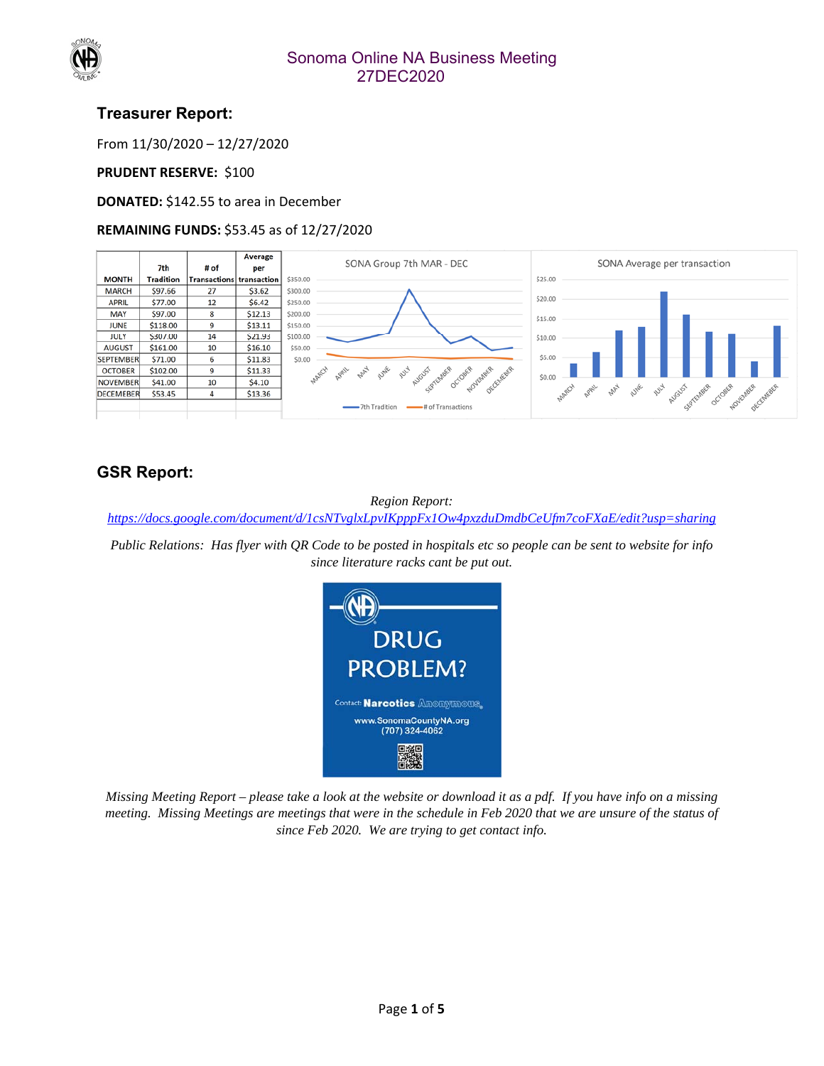

#### Sonoma Online NA Business Meeting 27DEC2020

### **Treasurer Report:**

From 11/30/2020 – 12/27/2020

#### **PRUDENT RESERVE: \$100**

**DONATED:** \$142.55 to area in December

#### **REMAINING FUNDS:** \$53.45 as of 12/27/2020



# **GSR Report:**

*Region Report: https://docs.google.com/document/d/1csNTvglxLpvIKpppFx1Ow4pxzduDmdbCeUfm7coFXaE/edit?usp=sharing*

*Public Relations: Has flyer with QR Code to be posted in hospitals etc so people can be sent to website for info since literature racks cant be put out.* 



*Missing Meeting Report – please take a look at the website or download it as a pdf. If you have info on a missing meeting. Missing Meetings are meetings that were in the schedule in Feb 2020 that we are unsure of the status of since Feb 2020. We are trying to get contact info.*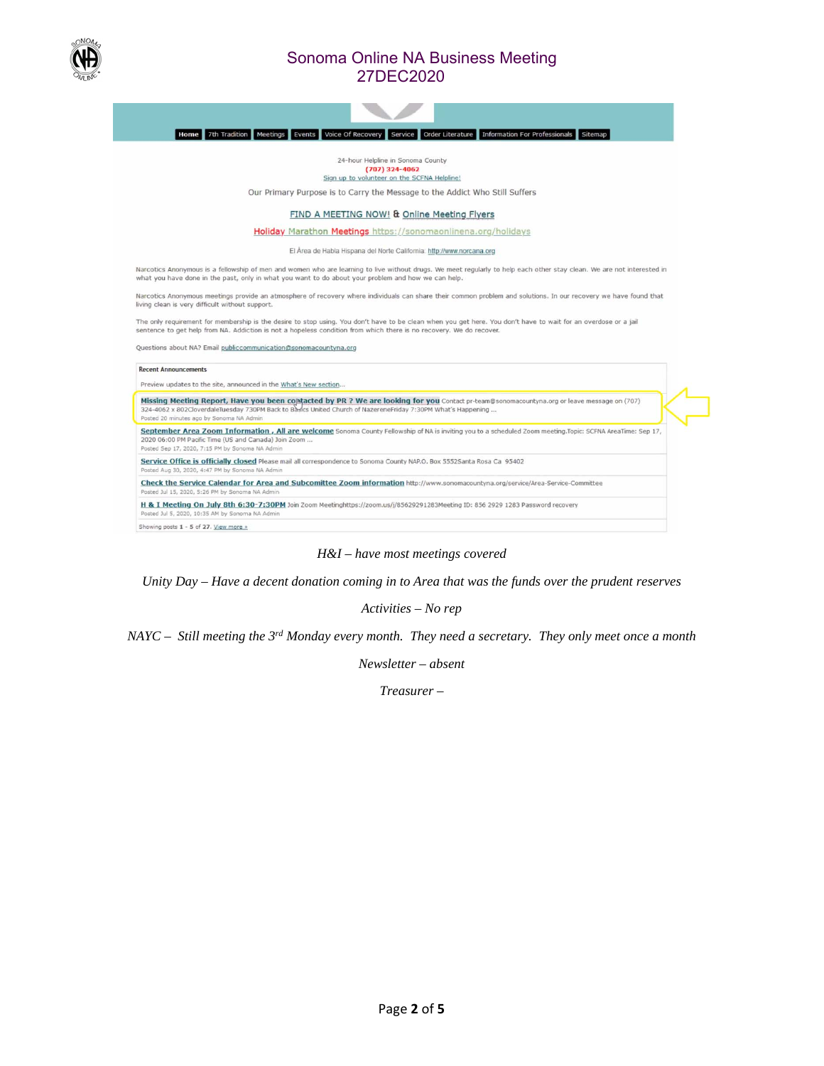

#### Sonoma Online NA Business Meeting 27DEC2020



#### 24-hour Helpline in Sonoma County  $(707)$  324-4062 Sign up to volunteer on the SCFNA Helpline!

Our Primary Purpose is to Carry the Message to the Addict Who Still Suffers

FIND A MEETING NOW! & Online Meeting Flyers

Holiday Marathon Meetings https://sonomaonlinena.org/holidays

El Área de Habla Hispana del Norte California: http://www.norcana.org

Narcotics Anonymous is a fellowship of men and women who are learning to live without drugs. We meet regularly to help each other stay clean. We are not interested in<br>what you have done in the past, only in what you want t

Narcotics Anonymous meetings provide an atmosphere of recovery where individuals can share their common problem and solutions. In our recovery we have found that living clean is very difficult without support.

The only requirement for membership is the desire to stop using. You don't have to be clean when you get here. You don't have to wait for an overdose or a jail sentence to get help from NA. Addiction is not a hopeless condition from which there is no recovery. We do recover.

Questions about NA? Email publiccommunication@sonomacountyna.org

**Recent Announcements** 

d Aug 30, 2020

Preview updates to the site, announced in the What's New section...

Missing Meeting Report, Have you been comtacted by PR ? We are looking for you Contact pr-team@sonomacountyna.org or leave message on (707)<br>324-4062 x 802CloverdaleTuesday 730PM Back to Basics United Church of NazereneFrid Posted 20 minutes ago by Sonoma NA Admin

September Area Zoom Information , All are welcome Sonoma County Fellowship of NA is inviting you to a scheduled Zoom meeting. Topic: SCFNA AreaTime: Sep 17, 2020 06:00 PM Pacific Time (US and Canada) Join Zor<br>Posted Sep 17, 2020, 7:15 PM by Sonoma NA Admin

Service Office is officially closed Please mail all correspondence to Sonoma County NAP.O. Box 5552Santa Rosa Ca 95402

Check the Service Calendar for Area and Subcomittee Zoom information http://www.sonomacountyna.org/service/Area-Service-Committee

Posted Jul 15, 2020, 5:26 PM by So

H & I Meeting On July 8th 6:30-7:30PM Join Zoom Meetinghttps://zoom.us/j/85629291283Meeting ID: 856 2929 1283 Password recovery

osted Jul 5, 2020, 10:35 AM by S Showing posts 1 - 5 of 27. View more »

*H&I – have most meetings covered* 

*Unity Day – Have a decent donation coming in to Area that was the funds over the prudent reserves* 

*Activities – No rep* 

*NAYC – Still meeting the 3rd Monday every month. They need a secretary. They only meet once a month* 

*Newsletter – absent* 

*Treasurer –*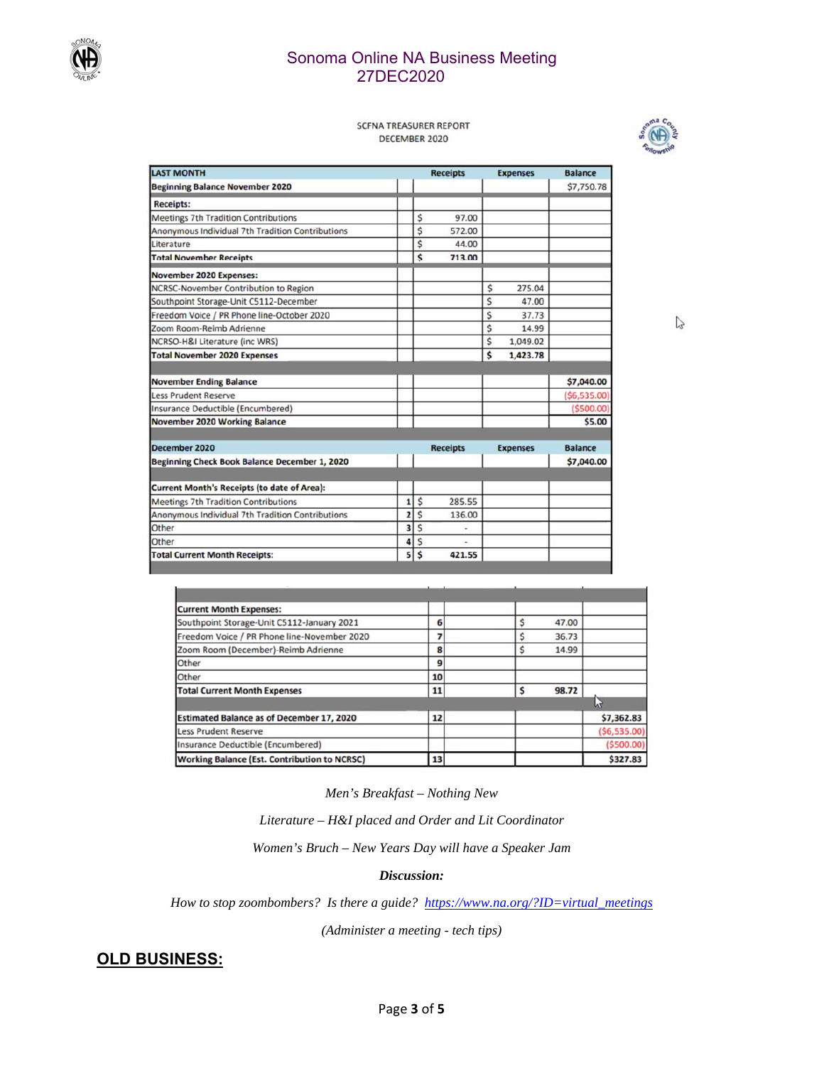

#### Sonoma Online NA Business Meeting 27DEC2020

#### **SCFNA TREASURER REPORT** DECEMBER 2020



 $\mathbb{Z}$ 

| <b>LAST MONTH</b>                                  |                | <b>Receipts</b> |                          | <b>Expenses</b> | <b>Balance</b>  |                |
|----------------------------------------------------|----------------|-----------------|--------------------------|-----------------|-----------------|----------------|
| <b>Beginning Balance November 2020</b>             |                |                 |                          |                 |                 | \$7,750.78     |
| <b>Receipts:</b>                                   |                |                 |                          |                 |                 |                |
| <b>Meetings 7th Tradition Contributions</b>        |                | Ś               | 97.00                    |                 |                 |                |
| Anonymous Individual 7th Tradition Contributions   |                | \$              | 572.00                   |                 |                 |                |
| Literature                                         |                | Ś               | 44.00                    |                 |                 |                |
| <b>Total November Receipts</b>                     |                | \$              | 713.00                   |                 |                 |                |
| November 2020 Expenses:                            |                |                 |                          |                 |                 |                |
| NCRSC-November Contribution to Region              |                |                 |                          | \$              | 275.04          |                |
| Southpoint Storage-Unit C5112-December             |                |                 |                          | Ś               | 47.00           |                |
| Freedom Voice / PR Phone line-October 2020         |                |                 |                          | Ś               | 37.73           |                |
| Zoom Room-Reimb Adrienne                           |                |                 |                          | Ś               | 14.99           |                |
| NCRSO-H&I Literature (inc WRS)                     |                |                 |                          | \$              | 1,049.02        |                |
| <b>Total November 2020 Expenses</b>                |                |                 |                          | \$              | 1,423.78        |                |
|                                                    |                |                 |                          |                 |                 |                |
| <b>November Ending Balance</b>                     |                |                 |                          |                 |                 | \$7,040.00     |
| <b>Less Prudent Reserve</b>                        |                |                 |                          |                 |                 | (56, 535.00)   |
| Insurance Deductible (Encumbered)                  |                |                 |                          |                 |                 | ( \$500.00]    |
| November 2020 Working Balance                      |                |                 |                          |                 |                 | \$5.00         |
| December 2020                                      |                |                 |                          |                 |                 | <b>Balance</b> |
|                                                    |                |                 | <b>Receipts</b>          |                 | <b>Expenses</b> |                |
| Beginning Check Book Balance December 1, 2020      |                |                 |                          |                 |                 | \$7,040.00     |
| <b>Current Month's Receipts (to date of Area):</b> |                |                 |                          |                 |                 |                |
| <b>Meetings 7th Tradition Contributions</b>        | 1              | \$              | 285.55                   |                 |                 |                |
| Anonymous Individual 7th Tradition Contributions   | $\overline{z}$ | Ś               | 136.00                   |                 |                 |                |
| Other                                              | 3              | \$              | $\overline{\phantom{a}}$ |                 |                 |                |
| Other                                              | 4              | Ś               |                          |                 |                 |                |
| <b>Total Current Month Receipts:</b>               | 5              | \$              | 421.55                   |                 |                 |                |

| <b>Current Month Expenses:</b>                      |    |       |              |
|-----------------------------------------------------|----|-------|--------------|
| Southpoint Storage-Unit C5112-January 2021          | 6  | 47.00 |              |
| Freedom Voice / PR Phone line-November 2020         |    | 36.73 |              |
| Zoom Room (December)-Reimb Adrienne                 | 8  | 14.99 |              |
| Other                                               | 9  |       |              |
| Other                                               | 10 |       |              |
| <b>Total Current Month Expenses</b>                 | 11 | 98.72 |              |
|                                                     |    |       |              |
| <b>Estimated Balance as of December 17, 2020</b>    | 12 |       | \$7,362.83   |
| <b>Less Prudent Reserve</b>                         |    |       | (56, 535.00) |
| Insurance Deductible (Encumbered)                   |    |       | ( \$500.00)  |
| <b>Working Balance (Est. Contribution to NCRSC)</b> | 13 |       | \$327.83     |

*Men's Breakfast – Nothing New* 

*Literature – H&I placed and Order and Lit Coordinator* 

*Women's Bruch – New Years Day will have a Speaker Jam* 

#### *Discussion:*

*How to stop zoombombers? Is there a guide? https://www.na.org/?ID=virtual\_meetings*

*(Administer a meeting - tech tips)* 

### **OLD BUSINESS:**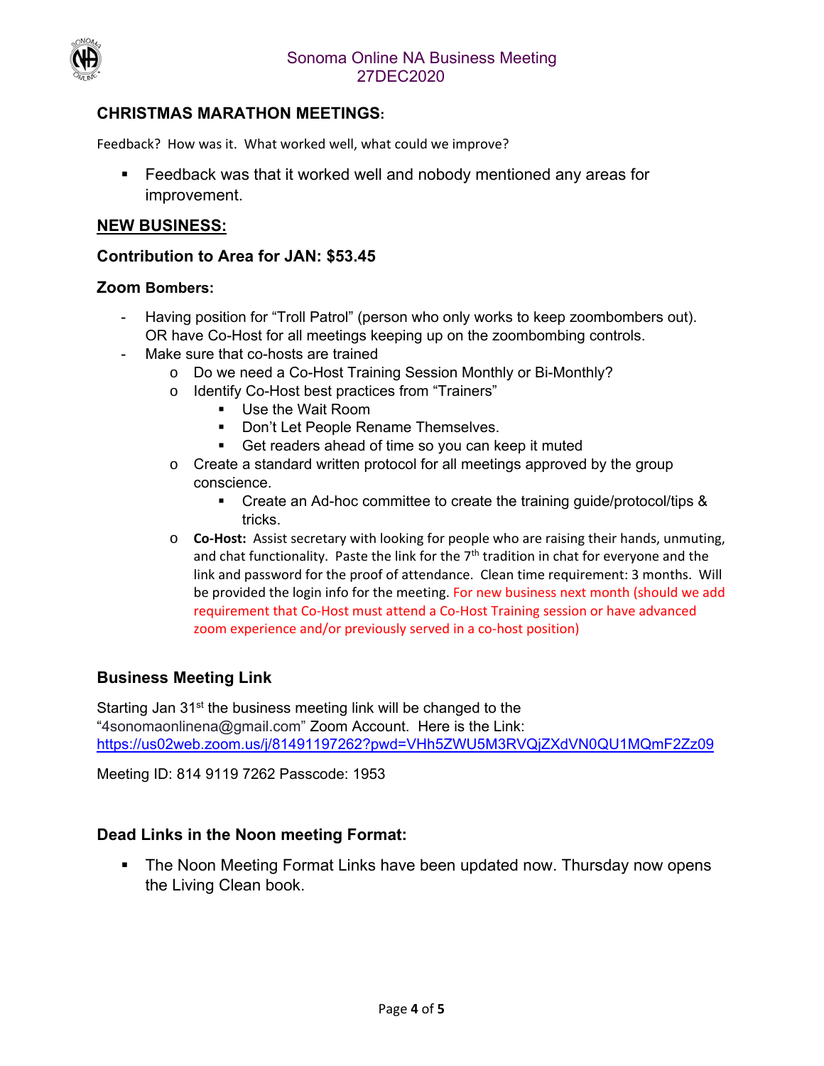

## **CHRISTMAS MARATHON MEETINGS:**

Feedback? How was it. What worked well, what could we improve?

 Feedback was that it worked well and nobody mentioned any areas for improvement.

#### **NEW BUSINESS:**

#### **Contribution to Area for JAN: \$53.45**

#### **Zoom Bombers:**

- Having position for "Troll Patrol" (person who only works to keep zoombombers out). OR have Co-Host for all meetings keeping up on the zoombombing controls.
- Make sure that co-hosts are trained
	- o Do we need a Co-Host Training Session Monthly or Bi-Monthly?
	- o Identify Co-Host best practices from "Trainers"
		- **Use the Wait Room**
		- **Don't Let People Rename Themselves.**
		- Get readers ahead of time so you can keep it muted
	- o Create a standard written protocol for all meetings approved by the group conscience.
		- Create an Ad-hoc committee to create the training guide/protocol/tips & tricks.
	- o **Co‐Host:** Assist secretary with looking for people who are raising their hands, unmuting, and chat functionality. Paste the link for the  $7<sup>th</sup>$  tradition in chat for everyone and the link and password for the proof of attendance. Clean time requirement: 3 months. Will be provided the login info for the meeting. For new business next month (should we add requirement that Co‐Host must attend a Co‐Host Training session or have advanced zoom experience and/or previously served in a co-host position)

### **Business Meeting Link**

Starting Jan 31<sup>st</sup> the business meeting link will be changed to the "4sonomaonlinena@gmail.com" Zoom Account. Here is the Link: https://us02web.zoom.us/j/81491197262?pwd=VHh5ZWU5M3RVQjZXdVN0QU1MQmF2Zz09

Meeting ID: 814 9119 7262 Passcode: 1953

#### **Dead Links in the Noon meeting Format:**

**The Noon Meeting Format Links have been updated now. Thursday now opens** the Living Clean book.